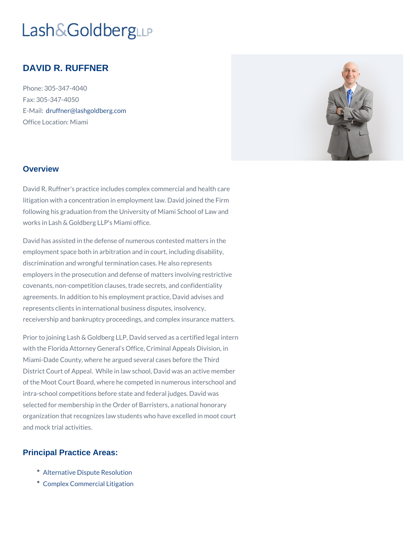# DAVID R. RUFFNER

Phone: 305-347-4040 Fax: 305-347-4050 E-Maid: ruffner@lashgoldberg.com Office Location: Miami

#### **Overview**

David R. Ruffner's practice includes complex commercial and health care litigation with a concentration in employment law. David joined the Firm following his graduation from the University of Miami School of Law and works in Lash & Goldberg LLP's Miami office.

David has assisted in the defense of numerous contested matters in the employment space both in arbitration and in court, including disability, discrimination and wrongful termination cases. He also represents employers in the prosecution and defense of matters involving restrictive covenants, non-competition clauses, trade secrets, and confidentiality agreements. In addition to his employment practice, David advises and represents clients in international business disputes, insolvency, receivership and bankruptcy proceedings, and complex insurance matters.

Prior to joining Lash & Goldberg LLP, David served as a certified legal intern with the Florida Attorney General s Office, Criminal Appeals Division, in Miami-Dade County, where he argued several cases before the Third District Court of Appeal. While in law school, David was an active member of the Moot Court Board, where he competed in numerous interschool and intra-school competitions before state and federal judges. David was selected for membership in the Order of Barristers, a national honorary organization that recognizes law students who have excelled in moot court and mock trial activities.

#### Principal Practice Areas:

- [Alternative Dispute](/practices/alternative-dispute-resolution/) Resolution
- [Complex Commercia](/practices/complex-business-litigation/)l Litigation